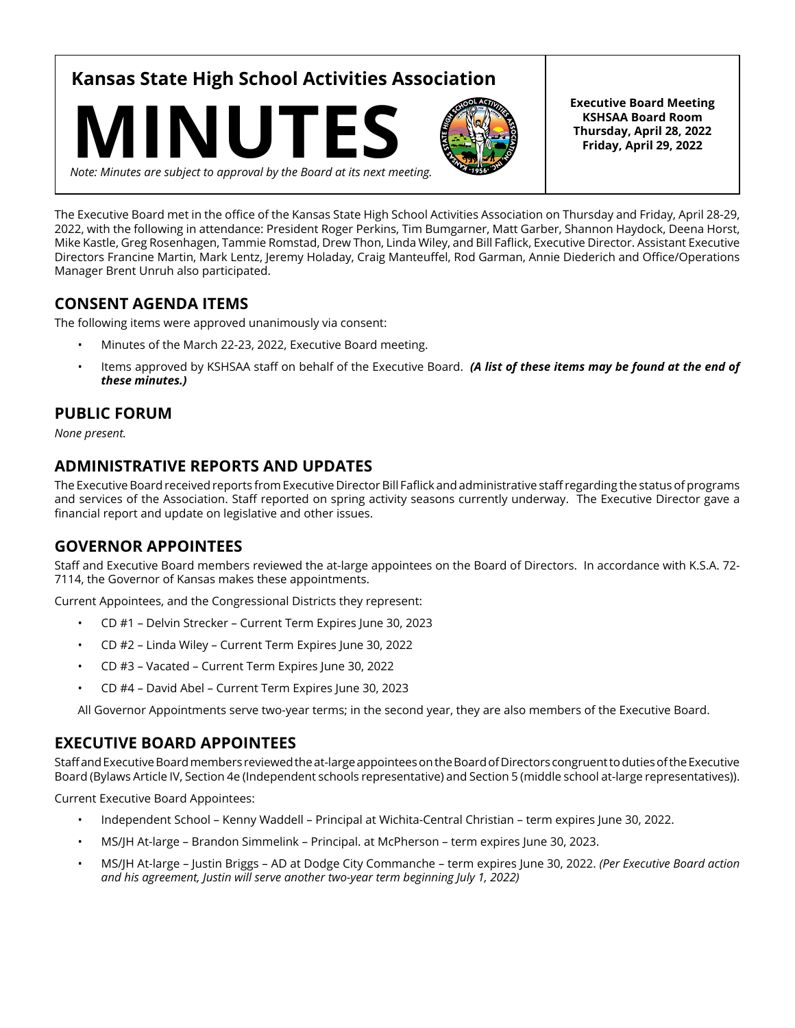**Kansas State High School Activities Association**





**Executive Board Meeting KSHSAA Board Room Thursday, April 28, 2022 Friday, April 29, 2022**

*Note: Minutes are subject to approval by the Board at its next meeting.*

The Executive Board met in the office of the Kansas State High School Activities Association on Thursday and Friday, April 28-29, 2022, with the following in attendance: President Roger Perkins, Tim Bumgarner, Matt Garber, Shannon Haydock, Deena Horst, Mike Kastle, Greg Rosenhagen, Tammie Romstad, Drew Thon, Linda Wiley, and Bill Faflick, Executive Director. Assistant Executive Directors Francine Martin, Mark Lentz, Jeremy Holaday, Craig Manteuffel, Rod Garman, Annie Diederich and Office/Operations Manager Brent Unruh also participated.

## **CONSENT AGENDA ITEMS**

The following items were approved unanimously via consent:

- Minutes of the March 22-23, 2022, Executive Board meeting.
- Items approved by KSHSAA staff on behalf of the Executive Board. *(A list of these items may be found at the end of these minutes.)*

## **PUBLIC FORUM**

*None present.*

## **ADMINISTRATIVE REPORTS AND UPDATES**

The Executive Board received reports from Executive Director Bill Faflick and administrative staff regarding the status of programs and services of the Association. Staff reported on spring activity seasons currently underway. The Executive Director gave a financial report and update on legislative and other issues.

## **GOVERNOR APPOINTEES**

Staff and Executive Board members reviewed the at-large appointees on the Board of Directors. In accordance with K.S.A. 72- 7114, the Governor of Kansas makes these appointments.

Current Appointees, and the Congressional Districts they represent:

- CD #1 Delvin Strecker Current Term Expires June 30, 2023
- CD #2 Linda Wiley Current Term Expires June 30, 2022
- CD #3 Vacated Current Term Expires June 30, 2022
- CD #4 David Abel Current Term Expires June 30, 2023

All Governor Appointments serve two-year terms; in the second year, they are also members of the Executive Board.

## **EXECUTIVE BOARD APPOINTEES**

Staff and Executive Board members reviewed the at-large appointees on the Board of Directors congruent to duties of the Executive Board (Bylaws Article IV, Section 4e (Independent schools representative) and Section 5 (middle school at-large representatives)).

Current Executive Board Appointees:

- Independent School Kenny Waddell Principal at Wichita-Central Christian term expires June 30, 2022.
- MS/JH At-large Brandon Simmelink Principal. at McPherson term expires June 30, 2023.
- MS/JH At-large Justin Briggs AD at Dodge City Commanche term expires June 30, 2022. *(Per Executive Board action and his agreement, Justin will serve another two-year term beginning July 1, 2022)*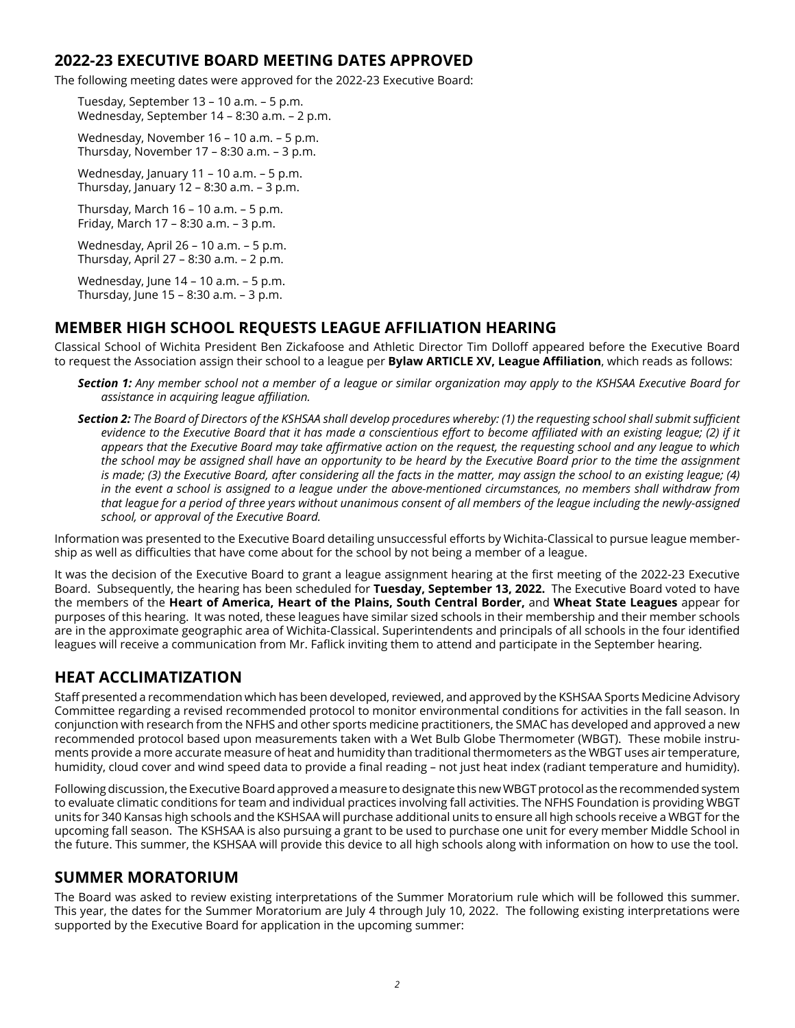## **2022-23 EXECUTIVE BOARD MEETING DATES APPROVED**

The following meeting dates were approved for the 2022-23 Executive Board:

Tuesday, September 13 – 10 a.m. – 5 p.m. Wednesday, September 14 – 8:30 a.m. – 2 p.m.

Wednesday, November 16 – 10 a.m. – 5 p.m. Thursday, November 17 – 8:30 a.m. – 3 p.m.

Wednesday, January 11 – 10 a.m. – 5 p.m. Thursday, January 12 – 8:30 a.m. – 3 p.m.

Thursday, March 16 – 10 a.m. – 5 p.m. Friday, March 17 – 8:30 a.m. – 3 p.m.

Wednesday, April 26 – 10 a.m. – 5 p.m. Thursday, April 27 – 8:30 a.m. – 2 p.m.

Wednesday, June 14 – 10 a.m. – 5 p.m. Thursday, June 15 – 8:30 a.m. – 3 p.m.

## **MEMBER HIGH SCHOOL REQUESTS LEAGUE AFFILIATION HEARING**

Classical School of Wichita President Ben Zickafoose and Athletic Director Tim Dolloff appeared before the Executive Board to request the Association assign their school to a league per **Bylaw ARTICLE XV, League Affiliation**, which reads as follows:

- *Section 1: Any member school not a member of a league or similar organization may apply to the KSHSAA Executive Board for assistance in acquiring league affiliation.*
- *Section 2: The Board of Directors of the KSHSAA shall develop procedures whereby: (1) the requesting school shall submit sufficient evidence to the Executive Board that it has made a conscientious effort to become affiliated with an existing league; (2) if it appears that the Executive Board may take affirmative action on the request, the requesting school and any league to which the school may be assigned shall have an opportunity to be heard by the Executive Board prior to the time the assignment is made; (3) the Executive Board, after considering all the facts in the matter, may assign the school to an existing league; (4) in the event a school is assigned to a league under the above-mentioned circumstances, no members shall withdraw from that league for a period of three years without unanimous consent of all members of the league including the newly-assigned school, or approval of the Executive Board.*

Information was presented to the Executive Board detailing unsuccessful efforts by Wichita-Classical to pursue league membership as well as difficulties that have come about for the school by not being a member of a league.

It was the decision of the Executive Board to grant a league assignment hearing at the first meeting of the 2022-23 Executive Board. Subsequently, the hearing has been scheduled for **Tuesday, September 13, 2022.** The Executive Board voted to have the members of the **Heart of America, Heart of the Plains, South Central Border,** and **Wheat State Leagues** appear for purposes of this hearing. It was noted, these leagues have similar sized schools in their membership and their member schools are in the approximate geographic area of Wichita-Classical. Superintendents and principals of all schools in the four identified leagues will receive a communication from Mr. Faflick inviting them to attend and participate in the September hearing.

## **HEAT ACCLIMATIZATION**

Staff presented a recommendation which has been developed, reviewed, and approved by the KSHSAA Sports Medicine Advisory Committee regarding a revised recommended protocol to monitor environmental conditions for activities in the fall season. In conjunction with research from the NFHS and other sports medicine practitioners, the SMAC has developed and approved a new recommended protocol based upon measurements taken with a Wet Bulb Globe Thermometer (WBGT). These mobile instruments provide a more accurate measure of heat and humidity than traditional thermometers as the WBGT uses air temperature, humidity, cloud cover and wind speed data to provide a final reading – not just heat index (radiant temperature and humidity).

Following discussion, the Executive Board approved a measure to designate this new WBGT protocol as the recommended system to evaluate climatic conditions for team and individual practices involving fall activities. The NFHS Foundation is providing WBGT units for 340 Kansas high schools and the KSHSAA will purchase additional units to ensure all high schools receive a WBGT for the upcoming fall season. The KSHSAA is also pursuing a grant to be used to purchase one unit for every member Middle School in the future. This summer, the KSHSAA will provide this device to all high schools along with information on how to use the tool.

## **SUMMER MORATORIUM**

The Board was asked to review existing interpretations of the Summer Moratorium rule which will be followed this summer. This year, the dates for the Summer Moratorium are July 4 through July 10, 2022. The following existing interpretations were supported by the Executive Board for application in the upcoming summer: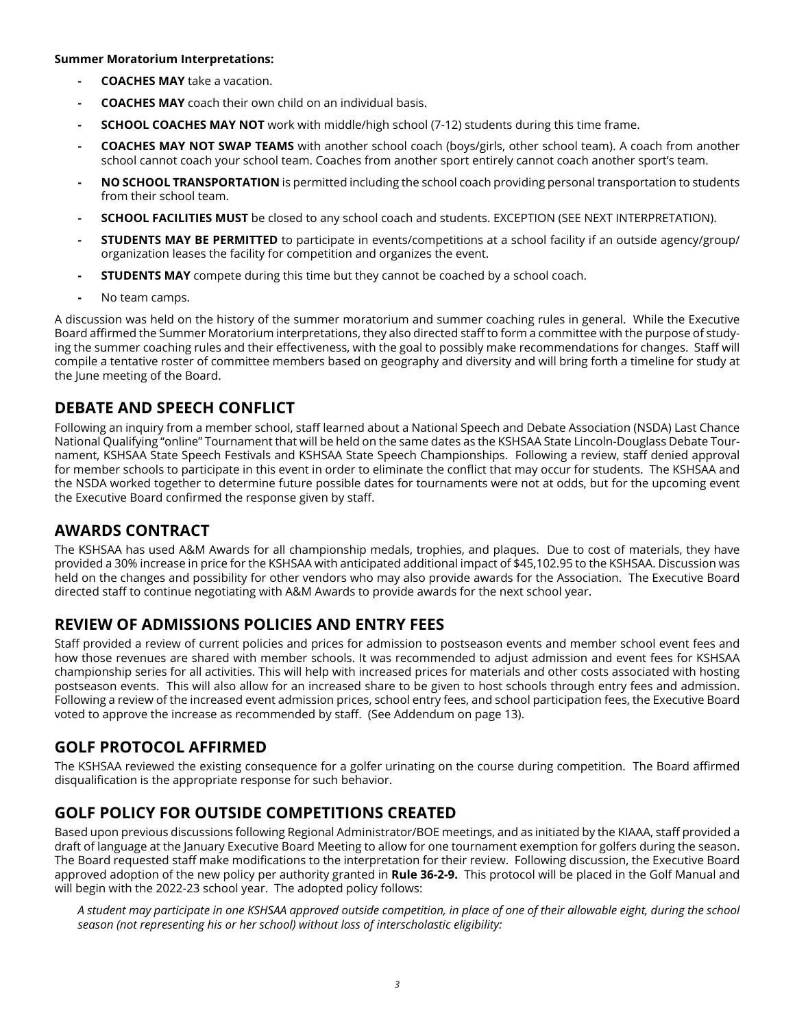#### **Summer Moratorium Interpretations:**

- **- COACHES MAY** take a vacation.
- **- COACHES MAY** coach their own child on an individual basis.
- **- SCHOOL COACHES MAY NOT** work with middle/high school (7-12) students during this time frame.
- **- COACHES MAY NOT SWAP TEAMS** with another school coach (boys/girls, other school team). A coach from another school cannot coach your school team. Coaches from another sport entirely cannot coach another sport's team.
- **- NO SCHOOL TRANSPORTATION** is permitted including the school coach providing personal transportation to students from their school team.
- **- SCHOOL FACILITIES MUST** be closed to any school coach and students. EXCEPTION (SEE NEXT INTERPRETATION).
- **- STUDENTS MAY BE PERMITTED** to participate in events/competitions at a school facility if an outside agency/group/ organization leases the facility for competition and organizes the event.
- **- STUDENTS MAY** compete during this time but they cannot be coached by a school coach.
- **-** No team camps.

A discussion was held on the history of the summer moratorium and summer coaching rules in general. While the Executive Board affirmed the Summer Moratorium interpretations, they also directed staff to form a committee with the purpose of studying the summer coaching rules and their effectiveness, with the goal to possibly make recommendations for changes. Staff will compile a tentative roster of committee members based on geography and diversity and will bring forth a timeline for study at the June meeting of the Board.

## **DEBATE AND SPEECH CONFLICT**

Following an inquiry from a member school, staff learned about a National Speech and Debate Association (NSDA) Last Chance National Qualifying "online" Tournament that will be held on the same dates as the KSHSAA State Lincoln-Douglass Debate Tournament, KSHSAA State Speech Festivals and KSHSAA State Speech Championships. Following a review, staff denied approval for member schools to participate in this event in order to eliminate the conflict that may occur for students. The KSHSAA and the NSDA worked together to determine future possible dates for tournaments were not at odds, but for the upcoming event the Executive Board confirmed the response given by staff.

## **AWARDS CONTRACT**

The KSHSAA has used A&M Awards for all championship medals, trophies, and plaques. Due to cost of materials, they have provided a 30% increase in price for the KSHSAA with anticipated additional impact of \$45,102.95 to the KSHSAA. Discussion was held on the changes and possibility for other vendors who may also provide awards for the Association. The Executive Board directed staff to continue negotiating with A&M Awards to provide awards for the next school year.

## **REVIEW OF ADMISSIONS POLICIES AND ENTRY FEES**

Staff provided a review of current policies and prices for admission to postseason events and member school event fees and how those revenues are shared with member schools. It was recommended to adjust admission and event fees for KSHSAA championship series for all activities. This will help with increased prices for materials and other costs associated with hosting postseason events. This will also allow for an increased share to be given to host schools through entry fees and admission. Following a review of the increased event admission prices, school entry fees, and school participation fees, the Executive Board voted to approve the increase as recommended by staff. (See Addendum on page 13).

## **GOLF PROTOCOL AFFIRMED**

The KSHSAA reviewed the existing consequence for a golfer urinating on the course during competition. The Board affirmed disqualification is the appropriate response for such behavior.

## **GOLF POLICY FOR OUTSIDE COMPETITIONS CREATED**

Based upon previous discussions following Regional Administrator/BOE meetings, and as initiated by the KIAAA, staff provided a draft of language at the January Executive Board Meeting to allow for one tournament exemption for golfers during the season. The Board requested staff make modifications to the interpretation for their review. Following discussion, the Executive Board approved adoption of the new policy per authority granted in **Rule 36-2-9.** This protocol will be placed in the Golf Manual and will begin with the 2022-23 school year. The adopted policy follows:

*A student may participate in one KSHSAA approved outside competition, in place of one of their allowable eight, during the school season (not representing his or her school) without loss of interscholastic eligibility:*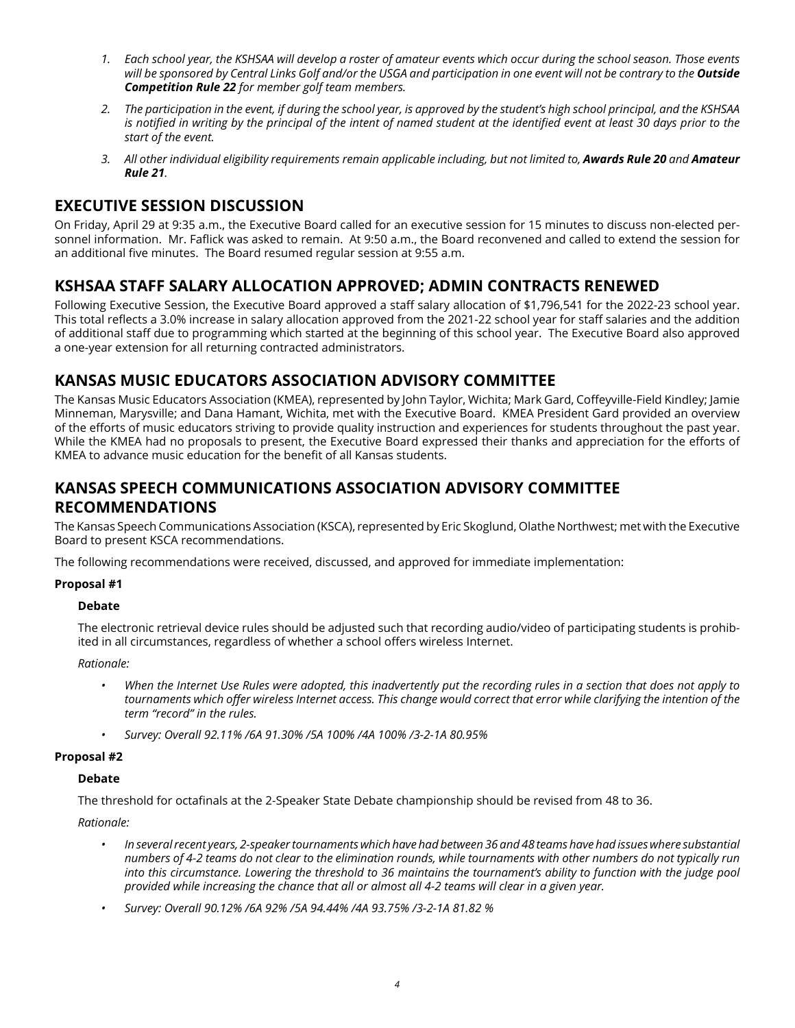- *1. Each school year, the KSHSAA will develop a roster of amateur events which occur during the school season. Those events*  will be sponsored by Central Links Golf and/or the USGA and participation in one event will not be contrary to the **Outside** *Competition Rule 22 for member golf team members.*
- *2. The participation in the event, if during the school year, is approved by the student's high school principal, and the KSHSAA*  is notified in writing by the principal of the intent of named student at the identified event at least 30 days prior to the *start of the event.*
- *3. All other individual eligibility requirements remain applicable including, but not limited to, Awards Rule 20 and Amateur Rule 21.*

## **EXECUTIVE SESSION DISCUSSION**

On Friday, April 29 at 9:35 a.m., the Executive Board called for an executive session for 15 minutes to discuss non-elected personnel information. Mr. Faflick was asked to remain. At 9:50 a.m., the Board reconvened and called to extend the session for an additional five minutes. The Board resumed regular session at 9:55 a.m.

## **KSHSAA STAFF SALARY ALLOCATION APPROVED; ADMIN CONTRACTS RENEWED**

Following Executive Session, the Executive Board approved a staff salary allocation of \$1,796,541 for the 2022-23 school year. This total reflects a 3.0% increase in salary allocation approved from the 2021-22 school year for staff salaries and the addition of additional staff due to programming which started at the beginning of this school year. The Executive Board also approved a one-year extension for all returning contracted administrators.

## **KANSAS MUSIC EDUCATORS ASSOCIATION ADVISORY COMMITTEE**

The Kansas Music Educators Association (KMEA), represented by John Taylor, Wichita; Mark Gard, Coffeyville-Field Kindley; Jamie Minneman, Marysville; and Dana Hamant, Wichita, met with the Executive Board. KMEA President Gard provided an overview of the efforts of music educators striving to provide quality instruction and experiences for students throughout the past year. While the KMEA had no proposals to present, the Executive Board expressed their thanks and appreciation for the efforts of KMEA to advance music education for the benefit of all Kansas students.

## **KANSAS SPEECH COMMUNICATIONS ASSOCIATION ADVISORY COMMITTEE RECOMMENDATIONS**

The Kansas Speech Communications Association (KSCA), represented by Eric Skoglund, Olathe Northwest; met with the Executive Board to present KSCA recommendations.

The following recommendations were received, discussed, and approved for immediate implementation:

## **Proposal #1**

## **Debate**

The electronic retrieval device rules should be adjusted such that recording audio/video of participating students is prohibited in all circumstances, regardless of whether a school offers wireless Internet.

*Rationale:* 

- *• When the Internet Use Rules were adopted, this inadvertently put the recording rules in a section that does not apply to*  tournaments which offer wireless Internet access. This change would correct that error while clarifying the intention of the *term "record" in the rules.*
- *• Survey: Overall 92.11% /6A 91.30% /5A 100% /4A 100% /3-2-1A 80.95%*

## **Proposal #2**

## **Debate**

The threshold for octafinals at the 2-Speaker State Debate championship should be revised from 48 to 36.

- *• In several recent years, 2-speaker tournaments which have had between 36 and 48 teams have had issues where substantial numbers of 4-2 teams do not clear to the elimination rounds, while tournaments with other numbers do not typically run into this circumstance. Lowering the threshold to 36 maintains the tournament's ability to function with the judge pool provided while increasing the chance that all or almost all 4-2 teams will clear in a given year.*
- *• Survey: Overall 90.12% /6A 92% /5A 94.44% /4A 93.75% /3-2-1A 81.82 %*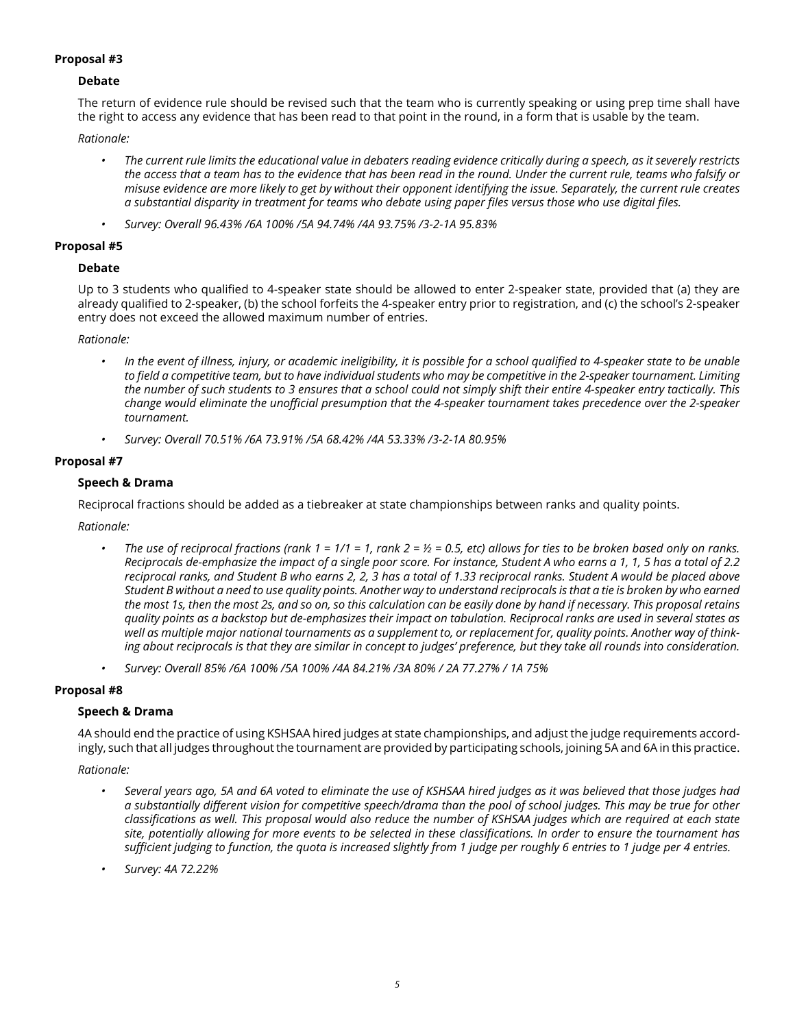## **Debate**

The return of evidence rule should be revised such that the team who is currently speaking or using prep time shall have the right to access any evidence that has been read to that point in the round, in a form that is usable by the team.

#### *Rationale:*

- *• The current rule limits the educational value in debaters reading evidence critically during a speech, as it severely restricts the access that a team has to the evidence that has been read in the round. Under the current rule, teams who falsify or misuse evidence are more likely to get by without their opponent identifying the issue. Separately, the current rule creates a substantial disparity in treatment for teams who debate using paper files versus those who use digital files.*
- *• Survey: Overall 96.43% /6A 100% /5A 94.74% /4A 93.75% /3-2-1A 95.83%*

#### **Proposal #5**

## **Debate**

Up to 3 students who qualified to 4-speaker state should be allowed to enter 2-speaker state, provided that (a) they are already qualified to 2-speaker, (b) the school forfeits the 4-speaker entry prior to registration, and (c) the school's 2-speaker entry does not exceed the allowed maximum number of entries.

*Rationale:* 

- *• In the event of illness, injury, or academic ineligibility, it is possible for a school qualified to 4-speaker state to be unable to field a competitive team, but to have individual students who may be competitive in the 2-speaker tournament. Limiting the number of such students to 3 ensures that a school could not simply shift their entire 4-speaker entry tactically. This change would eliminate the unofficial presumption that the 4-speaker tournament takes precedence over the 2-speaker tournament.*
- *• Survey: Overall 70.51% /6A 73.91% /5A 68.42% /4A 53.33% /3-2-1A 80.95%*

## **Proposal #7**

## **Speech & Drama**

Reciprocal fractions should be added as a tiebreaker at state championships between ranks and quality points.

*Rationale:* 

- *The use of reciprocal fractions (rank 1 = 1/1 = 1, rank 2 = 1/2 = 0.5, etc) allows for ties to be broken based only on ranks. Reciprocals de-emphasize the impact of a single poor score. For instance, Student A who earns a 1, 1, 5 has a total of 2.2 reciprocal ranks, and Student B who earns 2, 2, 3 has a total of 1.33 reciprocal ranks. Student A would be placed above Student B without a need to use quality points. Another way to understand reciprocals is that a tie is broken by who earned the most 1s, then the most 2s, and so on, so this calculation can be easily done by hand if necessary. This proposal retains quality points as a backstop but de-emphasizes their impact on tabulation. Reciprocal ranks are used in several states as well as multiple major national tournaments as a supplement to, or replacement for, quality points. Another way of thinking about reciprocals is that they are similar in concept to judges' preference, but they take all rounds into consideration.*
- *• Survey: Overall 85% /6A 100% /5A 100% /4A 84.21% /3A 80% / 2A 77.27% / 1A 75%*

## **Proposal #8**

## **Speech & Drama**

4A should end the practice of using KSHSAA hired judges at state championships, and adjust the judge requirements accordingly, such that all judges throughout the tournament are provided by participating schools, joining 5A and 6A in this practice.

- *• Several years ago, 5A and 6A voted to eliminate the use of KSHSAA hired judges as it was believed that those judges had a substantially different vision for competitive speech/drama than the pool of school judges. This may be true for other classifications as well. This proposal would also reduce the number of KSHSAA judges which are required at each state site, potentially allowing for more events to be selected in these classifications. In order to ensure the tournament has sufficient judging to function, the quota is increased slightly from 1 judge per roughly 6 entries to 1 judge per 4 entries.*
- *• Survey: 4A 72.22%*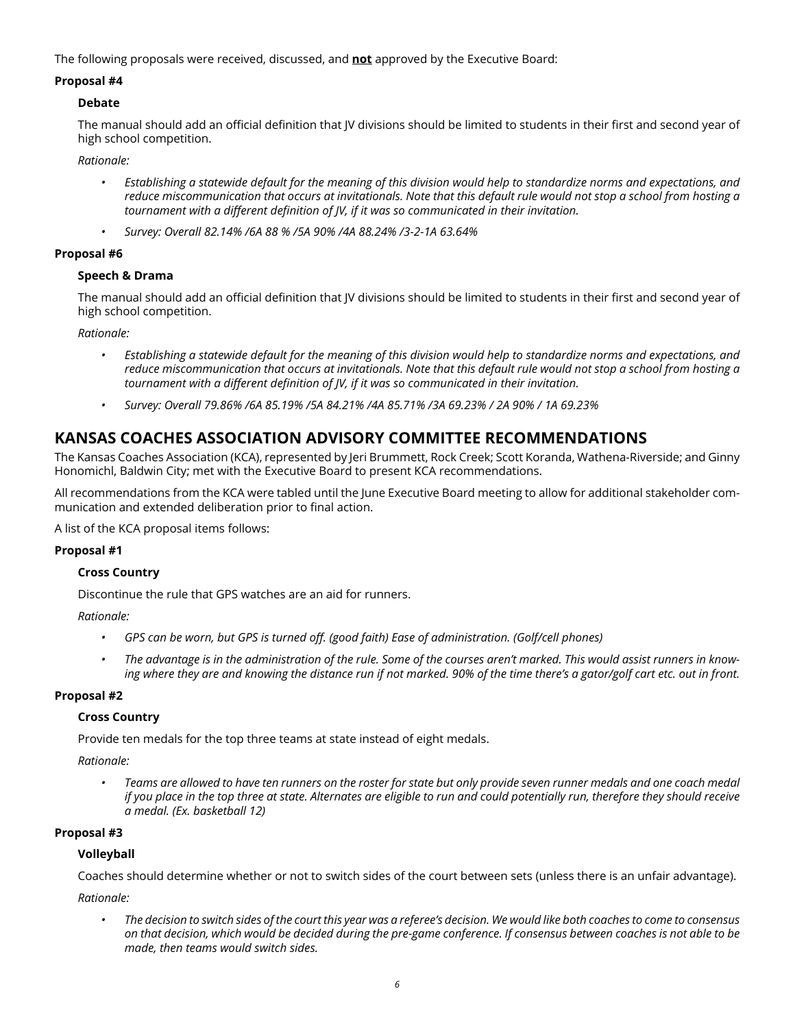The following proposals were received, discussed, and **not** approved by the Executive Board:

#### **Proposal #4**

### **Debate**

The manual should add an official definition that JV divisions should be limited to students in their first and second year of high school competition.

*Rationale:* 

- *• Establishing a statewide default for the meaning of this division would help to standardize norms and expectations, and reduce miscommunication that occurs at invitationals. Note that this default rule would not stop a school from hosting a tournament with a different definition of JV, if it was so communicated in their invitation.*
- *• Survey: Overall 82.14% /6A 88 % /5A 90% /4A 88.24% /3-2-1A 63.64%*

#### **Proposal #6**

#### **Speech & Drama**

The manual should add an official definition that JV divisions should be limited to students in their first and second year of high school competition.

*Rationale:* 

- *• Establishing a statewide default for the meaning of this division would help to standardize norms and expectations, and reduce miscommunication that occurs at invitationals. Note that this default rule would not stop a school from hosting a tournament with a different definition of JV, if it was so communicated in their invitation.*
- *• Survey: Overall 79.86% /6A 85.19% /5A 84.21% /4A 85.71% /3A 69.23% / 2A 90% / 1A 69.23%*

## **KANSAS COACHES ASSOCIATION ADVISORY COMMITTEE RECOMMENDATIONS**

The Kansas Coaches Association (KCA), represented by Jeri Brummett, Rock Creek; Scott Koranda, Wathena-Riverside; and Ginny Honomichl, Baldwin City; met with the Executive Board to present KCA recommendations.

All recommendations from the KCA were tabled until the June Executive Board meeting to allow for additional stakeholder communication and extended deliberation prior to final action.

A list of the KCA proposal items follows:

## **Proposal #1**

## **Cross Country**

Discontinue the rule that GPS watches are an aid for runners.

*Rationale:*

- *• GPS can be worn, but GPS is turned off. (good faith) Ease of administration. (Golf/cell phones)*
- *• The advantage is in the administration of the rule. Some of the courses aren't marked. This would assist runners in knowing where they are and knowing the distance run if not marked. 90% of the time there's a gator/golf cart etc. out in front.*

## **Proposal #2**

## **Cross Country**

Provide ten medals for the top three teams at state instead of eight medals.

*Rationale:*

*• Teams are allowed to have ten runners on the roster for state but only provide seven runner medals and one coach medal if you place in the top three at state. Alternates are eligible to run and could potentially run, therefore they should receive a medal. (Ex. basketball 12)*

## **Proposal #3**

## **Volleyball**

Coaches should determine whether or not to switch sides of the court between sets (unless there is an unfair advantage).

*Rationale:*

*• The decision to switch sides of the court this year was a referee's decision. We would like both coaches to come to consensus on that decision, which would be decided during the pre-game conference. If consensus between coaches is not able to be made, then teams would switch sides.*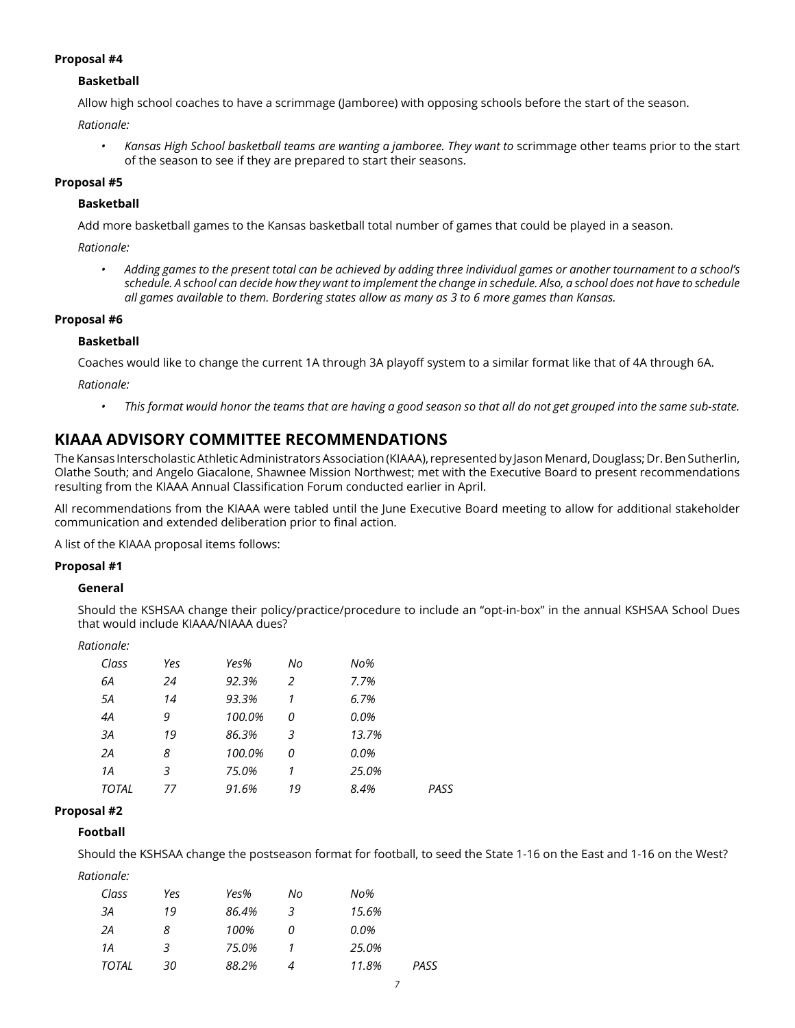## **Basketball**

Allow high school coaches to have a scrimmage (Jamboree) with opposing schools before the start of the season.

*Rationale:*

Kansas High School basketball teams are wanting a jamboree. They want to scrimmage other teams prior to the start of the season to see if they are prepared to start their seasons.

### **Proposal #5**

#### **Basketball**

Add more basketball games to the Kansas basketball total number of games that could be played in a season.

*Rationale:*

*• Adding games to the present total can be achieved by adding three individual games or another tournament to a school's schedule. A school can decide how they want to implement the change in schedule. Also, a school does not have to schedule all games available to them. Bordering states allow as many as 3 to 6 more games than Kansas.*

#### **Proposal #6**

#### **Basketball**

Coaches would like to change the current 1A through 3A playoff system to a similar format like that of 4A through 6A.

*Rationale:*

*• This format would honor the teams that are having a good season so that all do not get grouped into the same sub-state.*

## **KIAAA ADVISORY COMMITTEE RECOMMENDATIONS**

The Kansas Interscholastic Athletic Administrators Association (KIAAA), represented by Jason Menard, Douglass; Dr. Ben Sutherlin, Olathe South; and Angelo Giacalone, Shawnee Mission Northwest; met with the Executive Board to present recommendations resulting from the KIAAA Annual Classification Forum conducted earlier in April.

All recommendations from the KIAAA were tabled until the June Executive Board meeting to allow for additional stakeholder communication and extended deliberation prior to final action.

A list of the KIAAA proposal items follows:

#### **Proposal #1**

#### **General**

Should the KSHSAA change their policy/practice/procedure to include an "opt-in-box" in the annual KSHSAA School Dues that would include KIAAA/NIAAA dues?

| Rationale: |     |        |    |                  |      |
|------------|-----|--------|----|------------------|------|
| Class      | Yes | Yes%   | No | N <sub>O</sub> % |      |
| 6A         | 24  | 92.3%  | 2  | 7.7%             |      |
| 5A         | 14  | 93.3%  | 1  | 6.7%             |      |
| 4A         | 9   | 100.0% | 0  | 0.0%             |      |
| ЗΑ         | 19  | 86.3%  | 3  | 13.7%            |      |
| 2A         | 8   | 100.0% | 0  | 0.0%             |      |
| 1 A        | 3   | 75.0%  | 1  | 25.0%            |      |
| TOTAL      | 77  | 91.6%  | 19 | 8.4%             | PASS |

#### **Proposal #2**

## **Football**

Should the KSHSAA change the postseason format for football, to seed the State 1-16 on the East and 1-16 on the West?

| Class        | Yes | Yes%  | No | No%           |  |
|--------------|-----|-------|----|---------------|--|
| ЗА           | 19  | 86.4% | 3  | 15.6%         |  |
| 2Α           | 8   | 100%  |    | 0.0%          |  |
| 1Α           | 3   | 75.0% |    | 25.0%         |  |
| <b>TOTAL</b> | 30  | 88.2% |    | PASS<br>11.8% |  |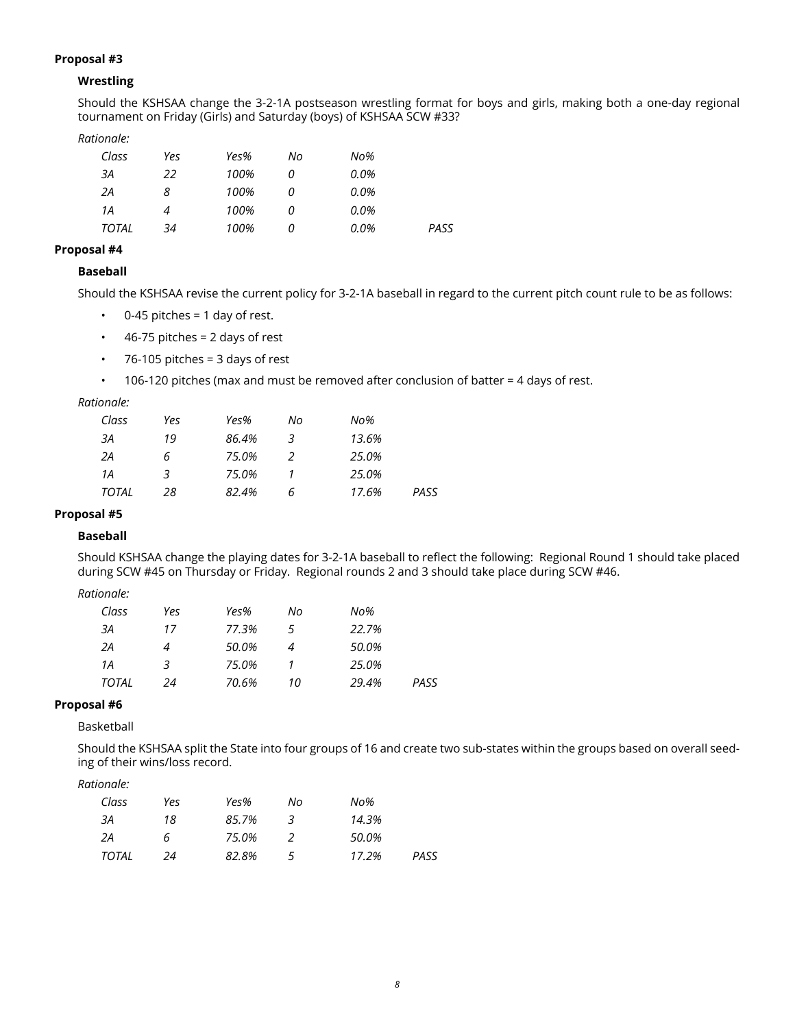## **Wrestling**

Should the KSHSAA change the 3-2-1A postseason wrestling format for boys and girls, making both a one-day regional tournament on Friday (Girls) and Saturday (boys) of KSHSAA SCW #33?

#### *Rationale:*

| Class        | Yes | Yes% | No | No%  |      |
|--------------|-----|------|----|------|------|
| ЗА           | 22  | 100% | 0  | 0.0% |      |
| 2Α           | 8   | 100% | 0  | 0.0% |      |
| 1А           | 4   | 100% | 0  | 0.0% |      |
| <b>TOTAL</b> | 34  | 100% | 0  | 0.0% | PASS |

## **Proposal #4**

## **Baseball**

Should the KSHSAA revise the current policy for 3-2-1A baseball in regard to the current pitch count rule to be as follows:

- $\cdot$  0-45 pitches = 1 day of rest.
- $\cdot$  46-75 pitches = 2 days of rest
- $\cdot$  76-105 pitches = 3 days of rest
- 106-120 pitches (max and must be removed after conclusion of batter = 4 days of rest.

## *Rationale:*

| Class | Yes | Yes%  | No | No%   |      |
|-------|-----|-------|----|-------|------|
| ЗА    | 19  | 86.4% | 3  | 13.6% |      |
| 2A    | 6   | 75.0% |    | 25.0% |      |
| 1Α    | 3   | 75.0% |    | 25.0% |      |
| TOTAL | 28  | 82.4% | 6  | 17.6% | PASS |

### **Proposal #5**

## **Baseball**

Should KSHSAA change the playing dates for 3-2-1A baseball to reflect the following: Regional Round 1 should take placed during SCW #45 on Thursday or Friday. Regional rounds 2 and 3 should take place during SCW #46.

## *Rationale:*

| Class | Yes | Yes%  | No | No%   |      |
|-------|-----|-------|----|-------|------|
| ЗА    | 17  | 77.3% | 5  | 22.7% |      |
| 2A    |     | 50.0% |    | 50.0% |      |
| 1Α    | 3   | 75.0% |    | 25.0% |      |
| TOTAL | 24  | 70.6% | 10 | 29.4% | PASS |

## **Proposal #6**

### Basketball

Should the KSHSAA split the State into four groups of 16 and create two sub-states within the groups based on overall seeding of their wins/loss record.

| Class        | Yes          | Yes%  | No             | No%   |      |
|--------------|--------------|-------|----------------|-------|------|
| ЗА           | 18           | 85.7% | 3              | 14.3% |      |
| 2A           | <sub>6</sub> | 75.0% |                | 50.0% |      |
| <b>TOTAL</b> | 24           | 82.8% | $\overline{a}$ | 17.2% | PASS |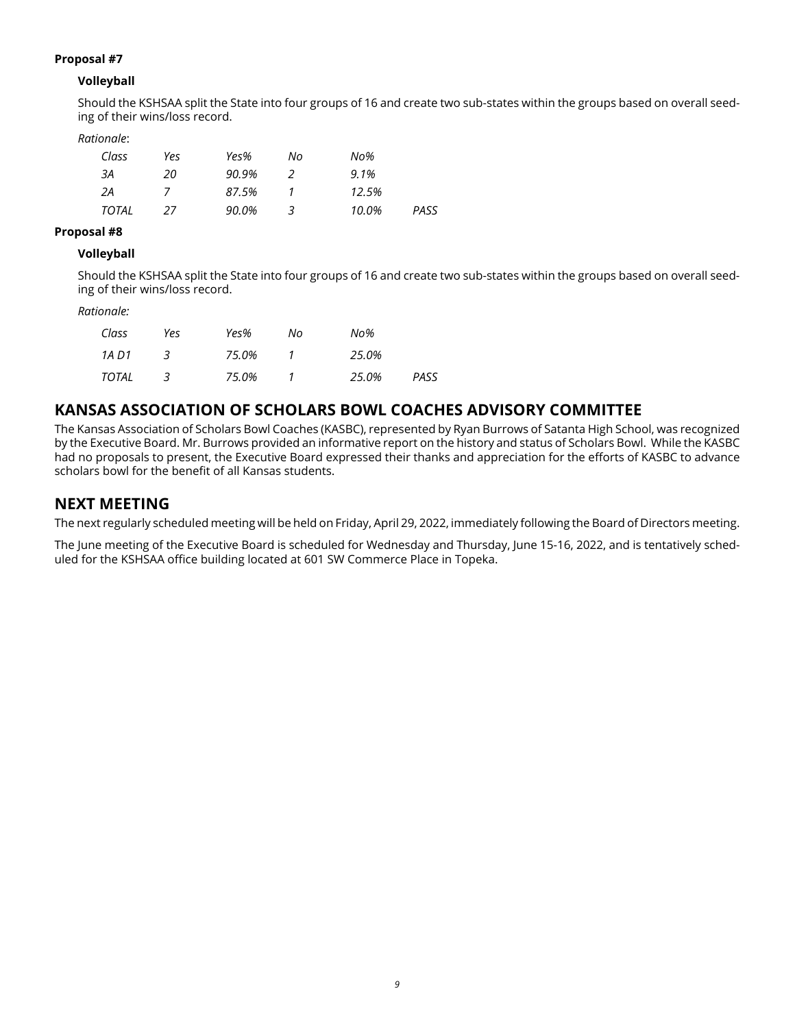## **Volleyball**

Should the KSHSAA split the State into four groups of 16 and create two sub-states within the groups based on overall seeding of their wins/loss record.

### *Rationale*:

| Class | Yes | Yes%  | Nο | No%   |      |
|-------|-----|-------|----|-------|------|
| ЗА    | 20  | 90.9% |    | 9.1%  |      |
| 2Α    |     | 87.5% |    | 12.5% |      |
| TOTAL | 27  | 90.0% |    | 10.0% | PASS |

### **Proposal #8**

## **Volleyball**

Should the KSHSAA split the State into four groups of 16 and create two sub-states within the groups based on overall seeding of their wins/loss record.

#### *Rationale:*

| Class | Yes | Yes%  | No | No%   |      |
|-------|-----|-------|----|-------|------|
| 1A D1 |     | 75.0% |    | 25.0% |      |
| TOTAL |     | 75.0% |    | 25.0% | PASS |

## **KANSAS ASSOCIATION OF SCHOLARS BOWL COACHES ADVISORY COMMITTEE**

The Kansas Association of Scholars Bowl Coaches (KASBC), represented by Ryan Burrows of Satanta High School, was recognized by the Executive Board. Mr. Burrows provided an informative report on the history and status of Scholars Bowl. While the KASBC had no proposals to present, the Executive Board expressed their thanks and appreciation for the efforts of KASBC to advance scholars bowl for the benefit of all Kansas students.

## **NEXT MEETING**

The next regularly scheduled meeting will be held on Friday, April 29, 2022, immediately following the Board of Directors meeting.

The June meeting of the Executive Board is scheduled for Wednesday and Thursday, June 15-16, 2022, and is tentatively scheduled for the KSHSAA office building located at 601 SW Commerce Place in Topeka.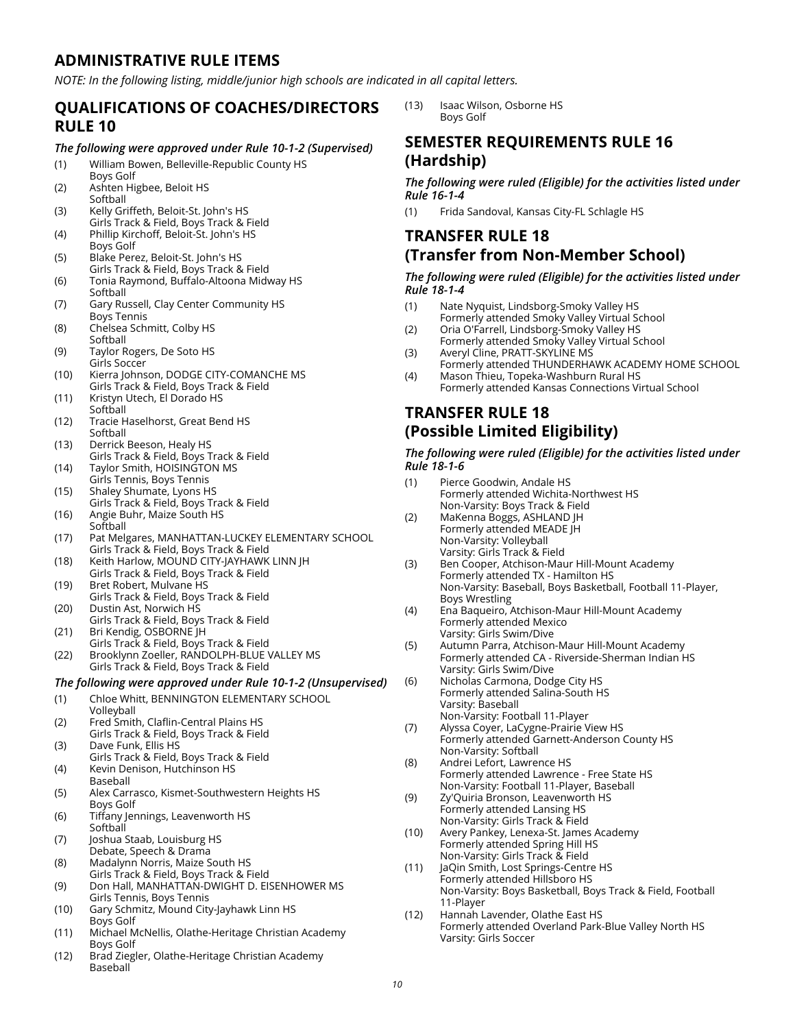## **ADMINISTRATIVE RULE ITEMS**

*NOTE: In the following listing, middle/junior high schools are indicated in all capital letters.* 

## **QUALIFICATIONS OF COACHES/DIRECTORS RULE 10**

#### *The following were approved under Rule 10-1-2 (Supervised)*

- (1) William Bowen, Belleville-Republic County HS
- Boys Golf (2) Ashten Higbee, Beloit HS Softball
- (3) Kelly Griffeth, Beloit-St. John's HS Girls Track & Field, Boys Track & Field
- (4) Phillip Kirchoff, Beloit-St. John's HS Boys Golf
- (5) Blake Perez, Beloit-St. John's HS Girls Track & Field, Boys Track & Field
- (6) Tonia Raymond, Buffalo-Altoona Midway HS Softball
- (7) Gary Russell, Clay Center Community HS Boys Tennis
- (8) Chelsea Schmitt, Colby HS **Softball**
- (9) Taylor Rogers, De Soto HS Girls Soccer
- (10) Kierra Johnson, DODGE CITY-COMANCHE MS Girls Track & Field, Boys Track & Field
- (11) Kristyn Utech, El Dorado HS Softball
- (12) Tracie Haselhorst, Great Bend HS Softball
- (13) Derrick Beeson, Healy HS Girls Track & Field, Boys Track & Field
- (14) Taylor Smith, HOISINGTON MS Girls Tennis, Boys Tennis
- (15) Shaley Shumate, Lyons HS Girls Track & Field, Boys Track & Field
- (16) Angie Buhr, Maize South HS Softball
- (17) Pat Melgares, MANHATTAN-LUCKEY ELEMENTARY SCHOOL Girls Track & Field, Boys Track & Field
- (18) Keith Harlow, MOUND CITY-JAYHAWK LINN JH Girls Track & Field, Boys Track & Field
- (19) Bret Robert, Mulvane HS Girls Track & Field, Boys Track & Field
- (20) Dustin Ast, Norwich HS Girls Track & Field, Boys Track & Field
- (21) Bri Kendig, OSBORNE JH Girls Track & Field, Boys Track & Field
- (22) Brooklynn Zoeller, RANDOLPH-BLUE VALLEY MS Girls Track & Field, Boys Track & Field

## *The following were approved under Rule 10-1-2 (Unsupervised)*

- (1) Chloe Whitt, BENNINGTON ELEMENTARY SCHOOL
- Volleyball (2) Fred Smith, Claflin-Central Plains HS
- Girls Track & Field, Boys Track & Field (3) Dave Funk, Ellis HS
- Girls Track & Field, Boys Track & Field (4) Kevin Denison, Hutchinson HS
- Baseball
- (5) Alex Carrasco, Kismet-Southwestern Heights HS Boys Golf
- (6) Tiffany Jennings, Leavenworth HS **Softball**
- (7) Joshua Staab, Louisburg HS Debate, Speech & Drama
- (8) Madalynn Norris, Maize South HS Girls Track & Field, Boys Track & Field
- (9) Don Hall, MANHATTAN-DWIGHT D. EISENHOWER MS Girls Tennis, Boys Tennis
- (10) Gary Schmitz, Mound City-Jayhawk Linn HS Boys Golf
- (11) Michael McNellis, Olathe-Heritage Christian Academy Boys Golf
- (12) Brad Ziegler, Olathe-Heritage Christian Academy Baseball

(13) Isaac Wilson, Osborne HS Boys Golf

## **SEMESTER REQUIREMENTS RULE 16 (Hardship)**

*The following were ruled (Eligible) for the activities listed under Rule 16-1-4*

(1) Frida Sandoval, Kansas City-FL Schlagle HS

# **TRANSFER RULE 18 (Transfer from Non-Member School)**

#### *The following were ruled (Eligible) for the activities listed under Rule 18-1-4*

- (1) Nate Nyquist, Lindsborg-Smoky Valley HS Formerly attended Smoky Valley Virtual School
- (2) Oria O'Farrell, Lindsborg-Smoky Valley HS Formerly attended Smoky Valley Virtual School
- (3) Averyl Cline, PRATT-SKYLINE MS
- Formerly attended THUNDERHAWK ACADEMY HOME SCHOOL (4) Mason Thieu, Topeka-Washburn Rural HS Formerly attended Kansas Connections Virtual School

## **TRANSFER RULE 18 (Possible Limited Eligibility)**

#### *The following were ruled (Eligible) for the activities listed under Rule 18-1-6*

(1) Pierce Goodwin, Andale HS Formerly attended Wichita-Northwest HS Non-Varsity: Boys Track & Field (2) MaKenna Boggs, ASHLAND JH Formerly attended MEADE JH Non-Varsity: Volleyball Varsity: Girls Track & Field (3) Ben Cooper, Atchison-Maur Hill-Mount Academy Formerly attended TX - Hamilton HS Non-Varsity: Baseball, Boys Basketball, Football 11-Player, Boys Wrestling (4) Ena Baqueiro, Atchison-Maur Hill-Mount Academy Formerly attended Mexico Varsity: Girls Swim/Dive (5) Autumn Parra, Atchison-Maur Hill-Mount Academy Formerly attended CA - Riverside-Sherman Indian HS Varsity: Girls Swim/Dive (6) Nicholas Carmona, Dodge City HS Formerly attended Salina-South HS Varsity: Baseball Non-Varsity: Football 11-Player (7) Alyssa Coyer, LaCygne-Prairie View HS Formerly attended Garnett-Anderson County HS Non-Varsity: Softball (8) Andrei Lefort, Lawrence HS Formerly attended Lawrence - Free State HS Non-Varsity: Football 11-Player, Baseball (9) Zy'Quiria Bronson, Leavenworth HS Formerly attended Lansing HS Non-Varsity: Girls Track & Field (10) Avery Pankey, Lenexa-St. James Academy Formerly attended Spring Hill HS Non-Varsity: Girls Track & Field (11) JaQin Smith, Lost Springs-Centre HS Formerly attended Hillsboro HS Non-Varsity: Boys Basketball, Boys Track & Field, Football 11-Player (12) Hannah Lavender, Olathe East HS Formerly attended Overland Park-Blue Valley North HS Varsity: Girls Soccer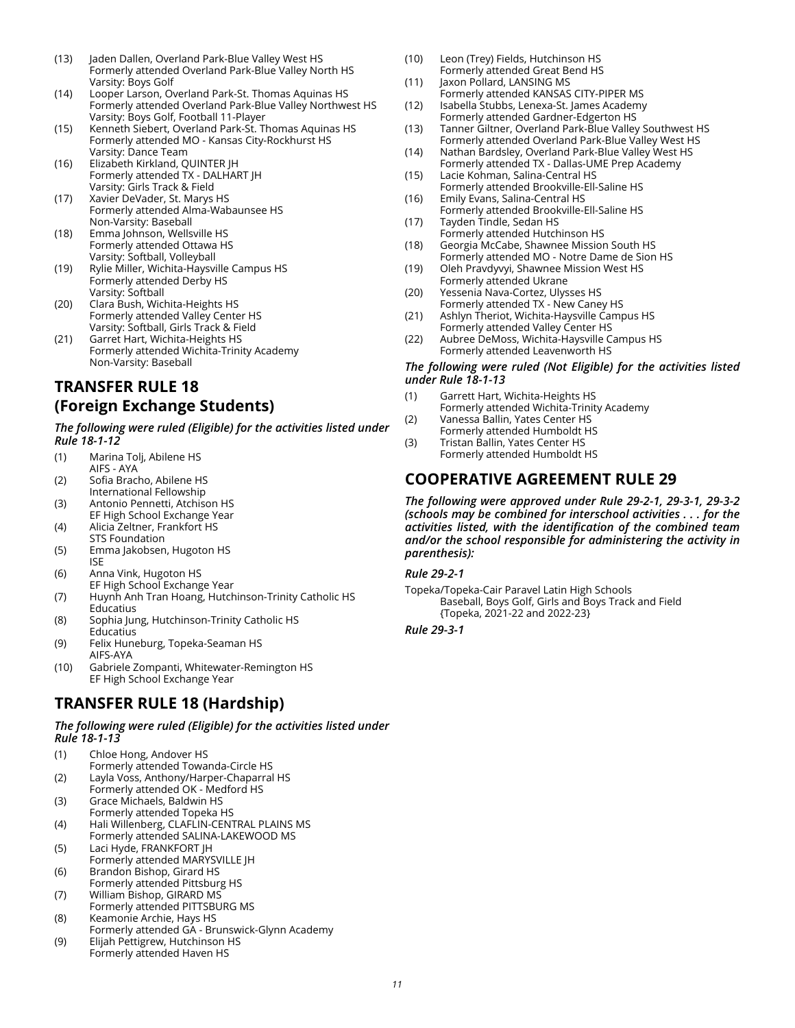- (13) Jaden Dallen, Overland Park-Blue Valley West HS Formerly attended Overland Park-Blue Valley North HS Varsity: Boys Golf
- (14) Looper Larson, Overland Park-St. Thomas Aquinas HS Formerly attended Overland Park-Blue Valley Northwest HS Varsity: Boys Golf, Football 11-Player
- (15) Kenneth Siebert, Overland Park-St. Thomas Aquinas HS Formerly attended MO - Kansas City-Rockhurst HS Varsity: Dance Team
- (16) Elizabeth Kirkland, QUINTER JH Formerly attended TX - DALHART JH Varsity: Girls Track & Field
- (17) Xavier DeVader, St. Marys HS Formerly attended Alma-Wabaunsee HS Non-Varsity: Baseball
- (18) Emma Johnson, Wellsville HS Formerly attended Ottawa HS Varsity: Softball, Volleyball
- (19) Rylie Miller, Wichita-Haysville Campus HS Formerly attended Derby HS Varsity: Softball
- (20) Clara Bush, Wichita-Heights HS Formerly attended Valley Center HS Varsity: Softball, Girls Track & Field
- (21) Garret Hart, Wichita-Heights HS Formerly attended Wichita-Trinity Academy Non-Varsity: Baseball

# **TRANSFER RULE 18 (Foreign Exchange Students)**

*The following were ruled (Eligible) for the activities listed under Rule 18-1-12*

- (1) Marina Tolj, Abilene HS AIFS - AYA
- (2) Sofia Bracho, Abilene HS International Fellowship
- (3) Antonio Pennetti, Atchison HS
- EF High School Exchange Year (4) Alicia Zeltner, Frankfort HS
- STS Foundation
- (5) Emma Jakobsen, Hugoton HS ISE
- (6) Anna Vink, Hugoton HS EF High School Exchange Year
- (7) Huynh Anh Tran Hoang, Hutchinson-Trinity Catholic HS Educatius
- (8) Sophia Jung, Hutchinson-Trinity Catholic HS **Educatius**
- (9) Felix Huneburg, Topeka-Seaman HS AIFS-AYA
- (10) Gabriele Zompanti, Whitewater-Remington HS EF High School Exchange Year

# **TRANSFER RULE 18 (Hardship)**

#### *The following were ruled (Eligible) for the activities listed under Rule 18-1-13*

- (1) Chloe Hong, Andover HS Formerly attended Towanda-Circle HS
- (2) Layla Voss, Anthony/Harper-Chaparral HS Formerly attended OK - Medford HS
- (3) Grace Michaels, Baldwin HS Formerly attended Topeka HS
- (4) Hali Willenberg, CLAFLIN-CENTRAL PLAINS MS Formerly attended SALINA-LAKEWOOD MS
- (5) Laci Hyde, FRANKFORT JH
- Formerly attended MARYSVILLE JH (6) Brandon Bishop, Girard HS
- Formerly attended Pittsburg HS (7) William Bishop, GIRARD MS
- Formerly attended PITTSBURG MS
- (8) Keamonie Archie, Hays HS Formerly attended GA - Brunswick-Glynn Academy (9) Elijah Pettigrew, Hutchinson HS
- Formerly attended Haven HS
- (10) Leon (Trey) Fields, Hutchinson HS Formerly attended Great Bend HS
- (11) Jaxon Pollard, LANSING MS Formerly attended KANSAS CITY-PIPER MS
- (12) Isabella Stubbs, Lenexa-St. James Academy
- Formerly attended Gardner-Edgerton HS (13) Tanner Giltner, Overland Park-Blue Valley Southwest HS Formerly attended Overland Park-Blue Valley West HS
- (14) Nathan Bardsley, Overland Park-Blue Valley West HS Formerly attended TX - Dallas-UME Prep Academy
- (15) Lacie Kohman, Salina-Central HS Formerly attended Brookville-Ell-Saline HS
- (16) Emily Evans, Salina-Central HS
- Formerly attended Brookville-Ell-Saline HS (17) Tayden Tindle, Sedan HS
- Formerly attended Hutchinson HS (18) Georgia McCabe, Shawnee Mission South HS
- Formerly attended MO Notre Dame de Sion HS (19) Oleh Pravdyvyi, Shawnee Mission West HS
- Formerly attended Ukrane (20) Yessenia Nava-Cortez, Ulysses HS
- Formerly attended TX New Caney HS (21) Ashlyn Theriot, Wichita-Haysville Campus HS
- Formerly attended Valley Center HS (22) Aubree DeMoss, Wichita-Haysville Campus HS Formerly attended Leavenworth HS

#### *The following were ruled (Not Eligible) for the activities listed under Rule 18-1-13*

- (1) Garrett Hart, Wichita-Heights HS Formerly attended Wichita-Trinity Academy
- (2) Vanessa Ballin, Yates Center HS Formerly attended Humboldt HS
- (3) Tristan Ballin, Yates Center HS Formerly attended Humboldt HS

## **COOPERATIVE AGREEMENT RULE 29**

*The following were approved under Rule 29-2-1, 29-3-1, 29-3-2 (schools may be combined for interschool activities . . . for the activities listed, with the identification of the combined team and/or the school responsible for administering the activity in parenthesis):* 

*Rule 29-2-1* 

Topeka/Topeka-Cair Paravel Latin High Schools Baseball, Boys Golf, Girls and Boys Track and Field {Topeka, 2021-22 and 2022-23}

*Rule 29-3-1*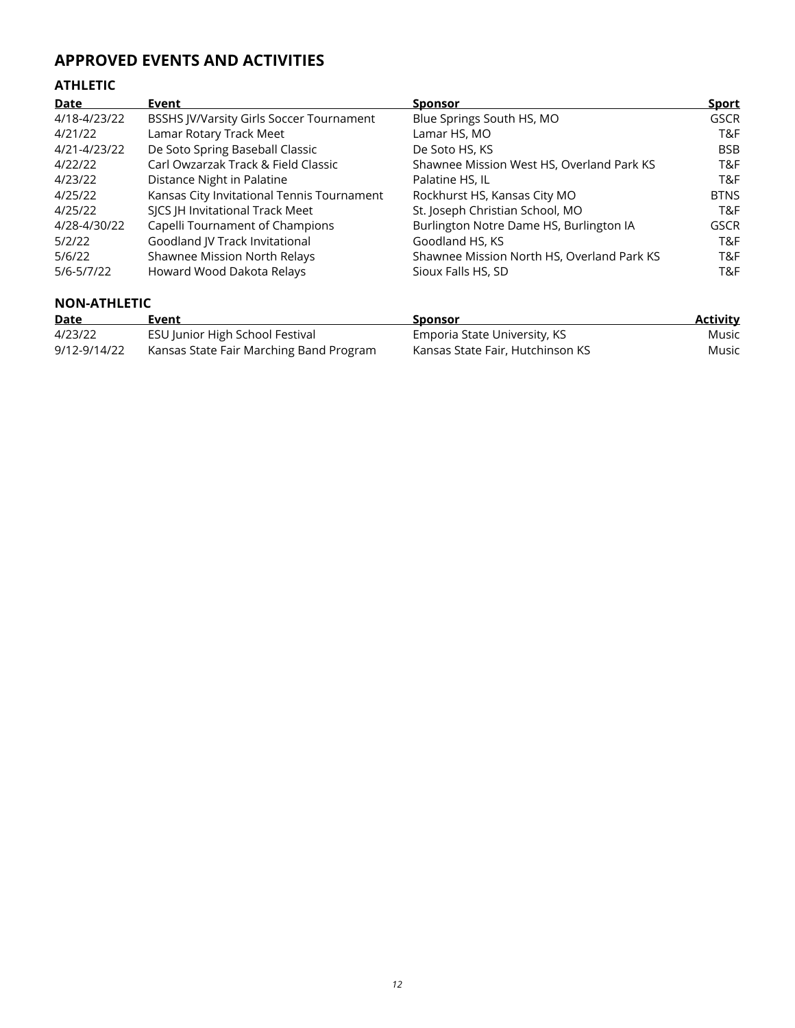# **APPROVED EVENTS AND ACTIVITIES**

# **ATHLETIC**

| <b>Date</b>  | Event                                           | <b>Sponsor</b>                             | <b>Sport</b> |
|--------------|-------------------------------------------------|--------------------------------------------|--------------|
| 4/18-4/23/22 | <b>BSSHS JV/Varsity Girls Soccer Tournament</b> | Blue Springs South HS, MO                  | <b>GSCR</b>  |
| 4/21/22      | Lamar Rotary Track Meet                         | Lamar HS, MO                               | T&F          |
| 4/21-4/23/22 | De Soto Spring Baseball Classic                 | De Soto HS, KS                             | BSB.         |
| 4/22/22      | Carl Owzarzak Track & Field Classic             | Shawnee Mission West HS, Overland Park KS  | T&F          |
| 4/23/22      | Distance Night in Palatine                      | Palatine HS, IL                            | T&F          |
| 4/25/22      | Kansas City Invitational Tennis Tournament      | Rockhurst HS, Kansas City MO               | <b>BTNS</b>  |
| 4/25/22      | SJCS JH Invitational Track Meet                 | St. Joseph Christian School, MO            | T&F          |
| 4/28-4/30/22 | Capelli Tournament of Champions                 | Burlington Notre Dame HS, Burlington IA    | <b>GSCR</b>  |
| 5/2/22       | Goodland JV Track Invitational                  | Goodland HS, KS                            | T&F          |
| 5/6/22       | Shawnee Mission North Relays                    | Shawnee Mission North HS, Overland Park KS | T&F          |
| 5/6-5/7/22   | Howard Wood Dakota Relays                       | Sioux Falls HS, SD                         | T&F          |

## **NON-ATHLETIC**

| Date         | Event                                   | Sponsor                          | <u>Activity</u> |
|--------------|-----------------------------------------|----------------------------------|-----------------|
| 4/23/22      | ESU Junior High School Festival         | Emporia State University, KS     | Music           |
| 9/12-9/14/22 | Kansas State Fair Marching Band Program | Kansas State Fair, Hutchinson KS | Music           |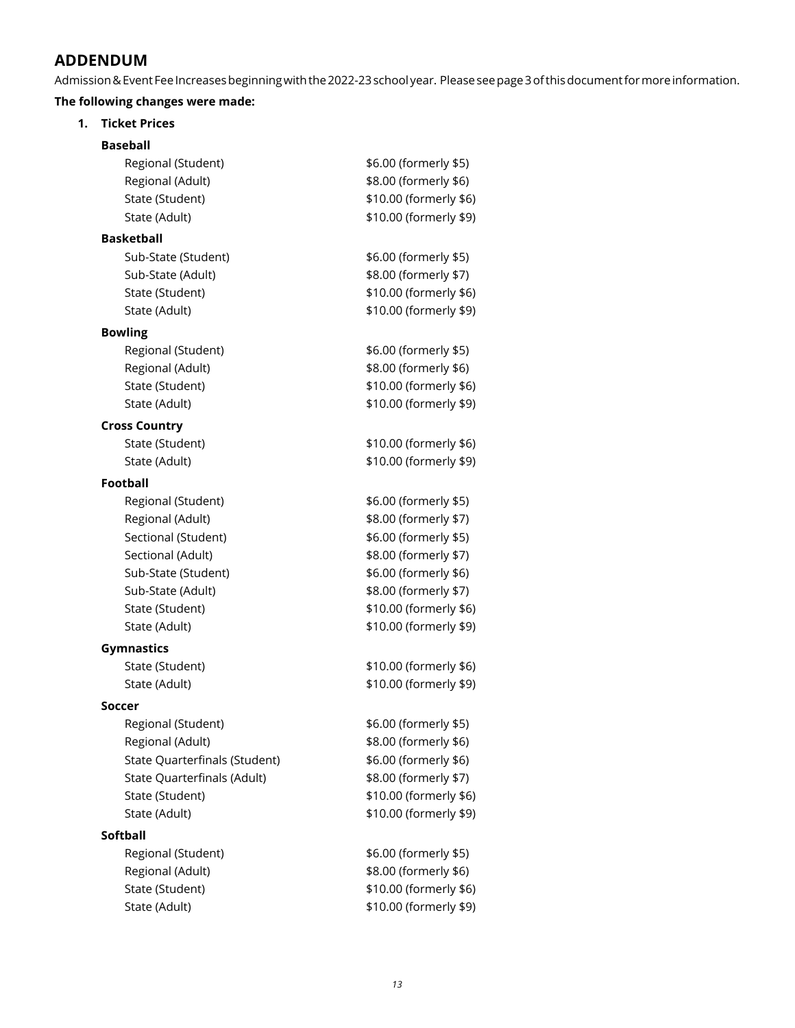## **ADDENDUM**

Admission & Event Fee Increases beginning with the 2022-23 school year. Please see page 3 of this document for more information.

## **The following changes were made:**

| 1. | <b>Ticket Prices</b>          |                        |  |  |  |  |  |
|----|-------------------------------|------------------------|--|--|--|--|--|
|    | <b>Baseball</b>               |                        |  |  |  |  |  |
|    | Regional (Student)            | \$6.00 (formerly \$5)  |  |  |  |  |  |
|    | Regional (Adult)              | \$8.00 (formerly \$6)  |  |  |  |  |  |
|    | State (Student)               | \$10.00 (formerly \$6) |  |  |  |  |  |
|    | State (Adult)                 | \$10.00 (formerly \$9) |  |  |  |  |  |
|    | <b>Basketball</b>             |                        |  |  |  |  |  |
|    | Sub-State (Student)           | \$6.00 (formerly \$5)  |  |  |  |  |  |
|    | Sub-State (Adult)             | \$8.00 (formerly \$7)  |  |  |  |  |  |
|    | State (Student)               | \$10.00 (formerly \$6) |  |  |  |  |  |
|    | State (Adult)                 | \$10.00 (formerly \$9) |  |  |  |  |  |
|    | <b>Bowling</b>                |                        |  |  |  |  |  |
|    | Regional (Student)            | \$6.00 (formerly \$5)  |  |  |  |  |  |
|    | Regional (Adult)              | \$8.00 (formerly \$6)  |  |  |  |  |  |
|    | State (Student)               | \$10.00 (formerly \$6) |  |  |  |  |  |
|    | State (Adult)                 | \$10.00 (formerly \$9) |  |  |  |  |  |
|    | <b>Cross Country</b>          |                        |  |  |  |  |  |
|    | State (Student)               | \$10.00 (formerly \$6) |  |  |  |  |  |
|    | State (Adult)                 | \$10.00 (formerly \$9) |  |  |  |  |  |
|    | Football                      |                        |  |  |  |  |  |
|    | Regional (Student)            | \$6.00 (formerly \$5)  |  |  |  |  |  |
|    | Regional (Adult)              | \$8.00 (formerly \$7)  |  |  |  |  |  |
|    | Sectional (Student)           | \$6.00 (formerly \$5)  |  |  |  |  |  |
|    | Sectional (Adult)             | \$8.00 (formerly \$7)  |  |  |  |  |  |
|    | Sub-State (Student)           | \$6.00 (formerly \$6)  |  |  |  |  |  |
|    | Sub-State (Adult)             | \$8.00 (formerly \$7)  |  |  |  |  |  |
|    | State (Student)               | \$10.00 (formerly \$6) |  |  |  |  |  |
|    | State (Adult)                 | \$10.00 (formerly \$9) |  |  |  |  |  |
|    | <b>Gymnastics</b>             |                        |  |  |  |  |  |
|    | State (Student)               | \$10.00 (formerly \$6) |  |  |  |  |  |
|    | State (Adult)                 | \$10.00 (formerly \$9) |  |  |  |  |  |
|    | Soccer                        |                        |  |  |  |  |  |
|    | Regional (Student)            | \$6.00 (formerly \$5)  |  |  |  |  |  |
|    | Regional (Adult)              | \$8.00 (formerly \$6)  |  |  |  |  |  |
|    | State Quarterfinals (Student) | \$6.00 (formerly \$6)  |  |  |  |  |  |
|    | State Quarterfinals (Adult)   | \$8.00 (formerly \$7)  |  |  |  |  |  |
|    | State (Student)               | \$10.00 (formerly \$6) |  |  |  |  |  |
|    | State (Adult)                 | \$10.00 (formerly \$9) |  |  |  |  |  |
|    | Softball                      |                        |  |  |  |  |  |
|    | Regional (Student)            | \$6.00 (formerly \$5)  |  |  |  |  |  |
|    | Regional (Adult)              | \$8.00 (formerly \$6)  |  |  |  |  |  |
|    | State (Student)               | \$10.00 (formerly \$6) |  |  |  |  |  |
|    | State (Adult)                 | \$10.00 (formerly \$9) |  |  |  |  |  |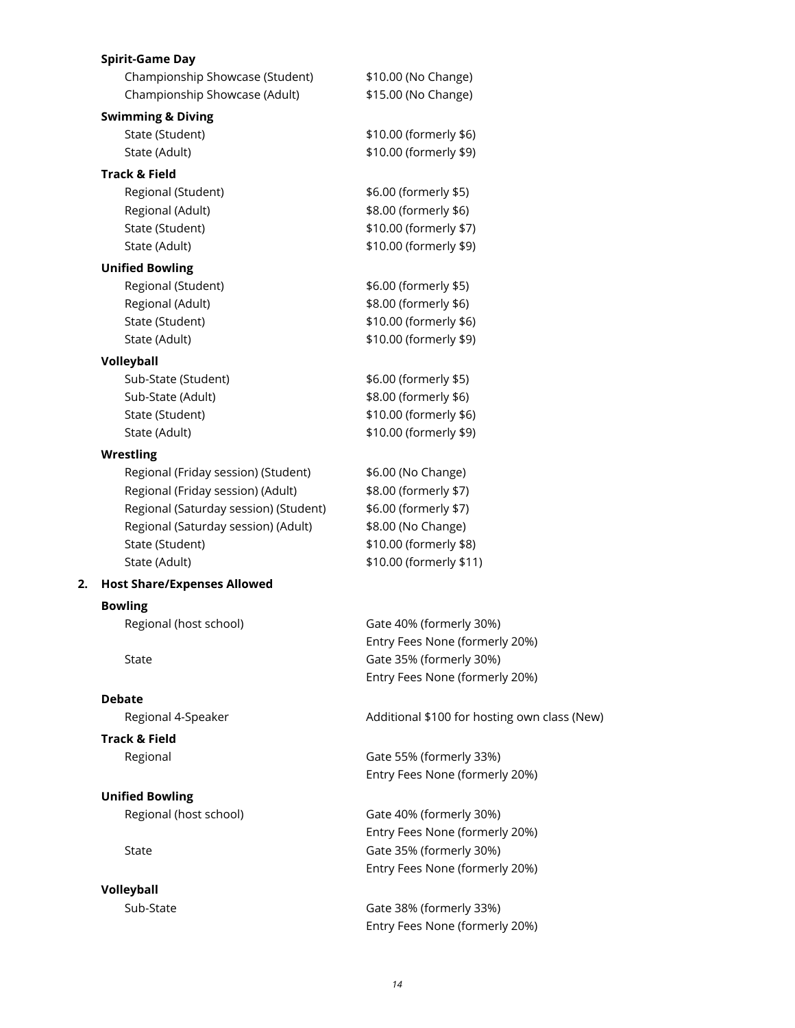|    | <b>Spirit-Game Day</b>                |                                              |
|----|---------------------------------------|----------------------------------------------|
|    | Championship Showcase (Student)       | \$10.00 (No Change)                          |
|    | Championship Showcase (Adult)         | \$15.00 (No Change)                          |
|    | <b>Swimming &amp; Diving</b>          |                                              |
|    | State (Student)                       | \$10.00 (formerly \$6)                       |
|    | State (Adult)                         | \$10.00 (formerly \$9)                       |
|    | <b>Track &amp; Field</b>              |                                              |
|    | Regional (Student)                    | \$6.00 (formerly \$5)                        |
|    | Regional (Adult)                      | \$8.00 (formerly \$6)                        |
|    | State (Student)                       | \$10.00 (formerly \$7)                       |
|    | State (Adult)                         | \$10.00 (formerly \$9)                       |
|    | <b>Unified Bowling</b>                |                                              |
|    | Regional (Student)                    | \$6.00 (formerly \$5)                        |
|    | Regional (Adult)                      | \$8.00 (formerly \$6)                        |
|    | State (Student)                       | \$10.00 (formerly \$6)                       |
|    | State (Adult)                         | \$10.00 (formerly \$9)                       |
|    | Volleyball                            |                                              |
|    | Sub-State (Student)                   | \$6.00 (formerly \$5)                        |
|    | Sub-State (Adult)                     | \$8.00 (formerly \$6)                        |
|    | State (Student)                       | \$10.00 (formerly \$6)                       |
|    | State (Adult)                         | \$10.00 (formerly \$9)                       |
|    | <b>Wrestling</b>                      |                                              |
|    | Regional (Friday session) (Student)   | \$6.00 (No Change)                           |
|    | Regional (Friday session) (Adult)     | \$8.00 (formerly \$7)                        |
|    | Regional (Saturday session) (Student) | \$6.00 (formerly \$7)                        |
|    | Regional (Saturday session) (Adult)   | \$8.00 (No Change)                           |
|    | State (Student)                       | \$10.00 (formerly \$8)                       |
|    | State (Adult)                         | \$10.00 (formerly \$11)                      |
| 2. | <b>Host Share/Expenses Allowed</b>    |                                              |
|    | <b>Bowling</b>                        |                                              |
|    | Regional (host school)                | Gate 40% (formerly 30%)                      |
|    |                                       | Entry Fees None (formerly 20%)               |
|    | State                                 | Gate 35% (formerly 30%)                      |
|    |                                       | Entry Fees None (formerly 20%)               |
|    | <b>Debate</b>                         |                                              |
|    | Regional 4-Speaker                    | Additional \$100 for hosting own class (New) |
|    |                                       |                                              |
|    | <b>Track &amp; Field</b>              |                                              |
|    | Regional                              | Gate 55% (formerly 33%)                      |
|    |                                       | Entry Fees None (formerly 20%)               |
|    | <b>Unified Bowling</b>                |                                              |
|    | Regional (host school)                | Gate 40% (formerly 30%)                      |
|    |                                       | Entry Fees None (formerly 20%)               |
|    | State                                 | Gate 35% (formerly 30%)                      |
|    |                                       | Entry Fees None (formerly 20%)               |
|    | Volleyball                            |                                              |
|    | Sub-State                             | Gate 38% (formerly 33%)                      |
|    |                                       | Entry Fees None (formerly 20%)               |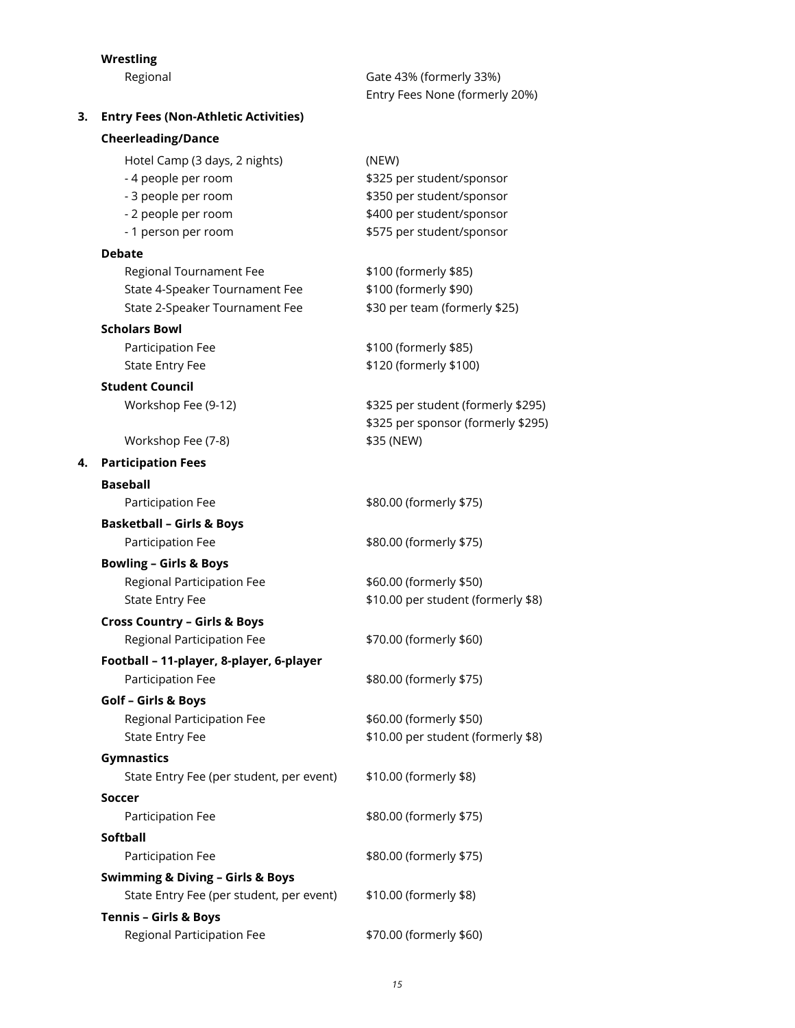## **Wrestling**

Regional

**3. Entry Fees (Non-Athletic Activities)**

| Gate 43% (formerly 33%)        |  |
|--------------------------------|--|
| Entry Fees None (formerly 20%) |  |

|    | <b>Cheerleading/Dance</b>                                    |                                    |
|----|--------------------------------------------------------------|------------------------------------|
|    | Hotel Camp (3 days, 2 nights)                                | (NEW)                              |
|    | - 4 people per room                                          | \$325 per student/sponsor          |
|    | - 3 people per room                                          | \$350 per student/sponsor          |
|    | - 2 people per room                                          | \$400 per student/sponsor          |
|    | - 1 person per room                                          | \$575 per student/sponsor          |
|    | <b>Debate</b>                                                |                                    |
|    | Regional Tournament Fee                                      | \$100 (formerly \$85)              |
|    | State 4-Speaker Tournament Fee                               | \$100 (formerly \$90)              |
|    | State 2-Speaker Tournament Fee                               | \$30 per team (formerly \$25)      |
|    | <b>Scholars Bowl</b>                                         |                                    |
|    | Participation Fee                                            | \$100 (formerly \$85)              |
|    | <b>State Entry Fee</b>                                       | \$120 (formerly \$100)             |
|    | <b>Student Council</b>                                       |                                    |
|    | Workshop Fee (9-12)                                          | \$325 per student (formerly \$295) |
|    |                                                              | \$325 per sponsor (formerly \$295) |
|    | Workshop Fee (7-8)                                           | \$35 (NEW)                         |
| 4. | <b>Participation Fees</b>                                    |                                    |
|    | <b>Baseball</b>                                              |                                    |
|    | Participation Fee                                            | \$80.00 (formerly \$75)            |
|    | <b>Basketball - Girls &amp; Boys</b>                         |                                    |
|    | Participation Fee                                            | \$80.00 (formerly \$75)            |
|    | <b>Bowling - Girls &amp; Boys</b>                            |                                    |
|    | Regional Participation Fee                                   | \$60.00 (formerly \$50)            |
|    | <b>State Entry Fee</b>                                       | \$10.00 per student (formerly \$8) |
|    | <b>Cross Country - Girls &amp; Boys</b>                      |                                    |
|    | Regional Participation Fee                                   | \$70.00 (formerly \$60)            |
|    | Football - 11-player, 8-player, 6-player                     |                                    |
|    | Participation Fee                                            | \$80.00 (formerly \$75)            |
|    |                                                              |                                    |
|    | <b>Golf - Girls &amp; Boys</b><br>Regional Participation Fee | \$60.00 (formerly \$50)            |
|    | <b>State Entry Fee</b>                                       | \$10.00 per student (formerly \$8) |
|    |                                                              |                                    |
|    | <b>Gymnastics</b>                                            |                                    |
|    | State Entry Fee (per student, per event)                     | \$10.00 (formerly \$8)             |
|    | Soccer                                                       |                                    |
|    | Participation Fee                                            | \$80.00 (formerly \$75)            |
|    | <b>Softball</b>                                              |                                    |
|    | Participation Fee                                            | \$80.00 (formerly \$75)            |
|    | <b>Swimming &amp; Diving - Girls &amp; Boys</b>              |                                    |
|    | State Entry Fee (per student, per event)                     | \$10.00 (formerly \$8)             |
|    | <b>Tennis - Girls &amp; Boys</b>                             |                                    |
|    | Regional Participation Fee                                   | \$70.00 (formerly \$60)            |